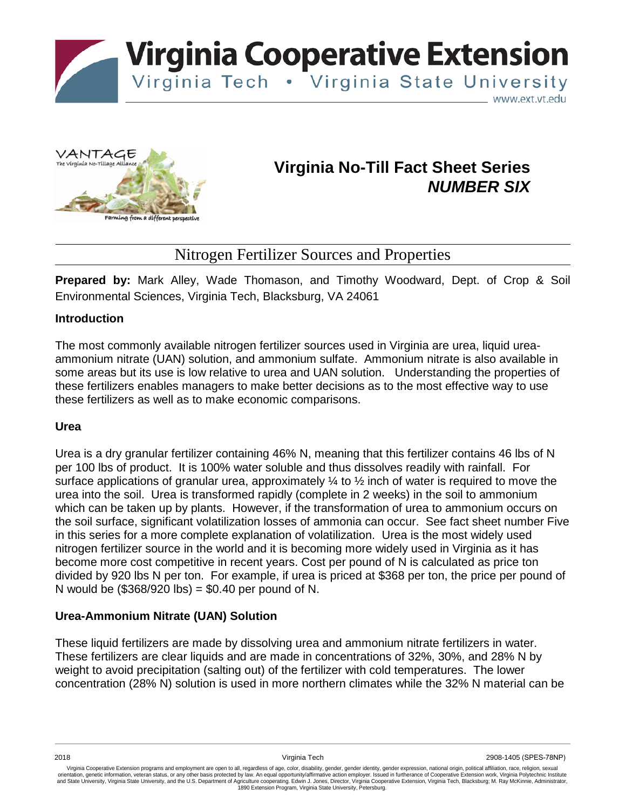

**Virginia Cooperative Extension** 

Virginia Tech . Virginia State University

www.ext.vt.edu



# **Virginia No-Till Fact Sheet Series** *NUMBER SIX*

# Nitrogen Fertilizer Sources and Properties

**Prepared by:** Mark Alley, Wade Thomason, and Timothy Woodward, Dept. of Crop & Soil Environmental Sciences, Virginia Tech, Blacksburg, VA 24061

# **Introduction**

The most commonly available nitrogen fertilizer sources used in Virginia are urea, liquid ureaammonium nitrate (UAN) solution, and ammonium sulfate. Ammonium nitrate is also available in some areas but its use is low relative to urea and UAN solution. Understanding the properties of these fertilizers enables managers to make better decisions as to the most effective way to use these fertilizers as well as to make economic comparisons.

#### **Urea**

Urea is a dry granular fertilizer containing 46% N, meaning that this fertilizer contains 46 lbs of N per 100 lbs of product. It is 100% water soluble and thus dissolves readily with rainfall. For surface applications of granular urea, approximately  $\frac{1}{4}$  to  $\frac{1}{2}$  inch of water is required to move the urea into the soil. Urea is transformed rapidly (complete in 2 weeks) in the soil to ammonium which can be taken up by plants. However, if the transformation of urea to ammonium occurs on the soil surface, significant volatilization losses of ammonia can occur. See fact sheet number Five in this series for a more complete explanation of volatilization. Urea is the most widely used nitrogen fertilizer source in the world and it is becoming more widely used in Virginia as it has become more cost competitive in recent years. Cost per pound of N is calculated as price ton divided by 920 lbs N per ton. For example, if urea is priced at \$368 per ton, the price per pound of N would be (\$368/920 lbs) = \$0.40 per pound of N.

# **Urea-Ammonium Nitrate (UAN) Solution**

These liquid fertilizers are made by dissolving urea and ammonium nitrate fertilizers in water. These fertilizers are clear liquids and are made in concentrations of 32%, 30%, and 28% N by weight to avoid precipitation (salting out) of the fertilizer with cold temperatures. The lower concentration (28% N) solution is used in more northern climates while the 32% N material can be

Virginia Cooperative Extension programs and employment are open to all, regardless of age, color, disability, gender, gender identity, gender expression, national origin, political affiliation, race, religion, sexual orientation, genetic information, veteran status, or any other basis protected by law. An equal opportunity/affirmative action employer. Issued in furtherance of Cooperative Extension work, Virginia Polytechnic Institute<br>a 1890 Extension Program, Virginia State University, Petersburg.